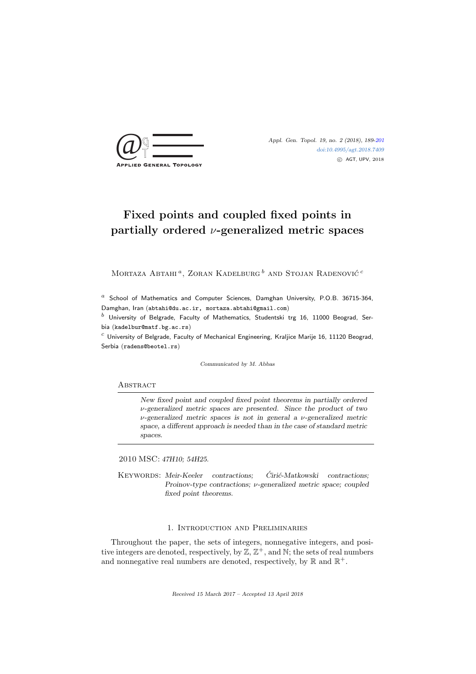

[doi:10.4995/agt.2018.7409](http://dx.doi.org/10.4995/agt.2018.7409) c AGT, UPV, 2018

# Fixed points and coupled fixed points in partially ordered  $\nu$ -generalized metric spaces

Mortaza Abtahi<sup>a</sup>, Zoran Kadelburg  $^b$  and Stojan Radenović<sup>c</sup>

 $a$  School of Mathematics and Computer Sciences, Damghan University, P.O.B. 36715-364, Damghan, Iran (abtahi@du.ac.ir, mortaza.abtahi@gmail.com)

 $^b$  University of Belgrade, Faculty of Mathematics, Studentski trg 16, 11000 Beograd, Serbia (kadelbur@matf.bg.ac.rs)

 $c$  University of Belgrade, Faculty of Mechanical Engineering, Kraljice Marije 16, 11120 Beograd, Serbia (radens@beotel.rs)

Communicated by M. Abbas

#### **ABSTRACT**

New fixed point and coupled fixed point theorems in partially ordered  $\nu$ -generalized metric spaces are presented. Since the product of two  $\nu$ -generalized metric spaces is not in general a  $\nu$ -generalized metric space, a different approach is needed than in the case of standard metric spaces.

2010 MSC: 47H10; 54H25.

KEYWORDS: Meir-Keeler contractions; Ciric-Matkowski contractions; Proinov-type contractions; ν-generalized metric space; coupled fixed point theorems.

### 1. Introduction and Preliminaries

Throughout the paper, the sets of integers, nonnegative integers, and positive integers are denoted, respectively, by  $\mathbb{Z}, \mathbb{Z}^+$ , and  $\mathbb{N}$ ; the sets of real numbers and nonnegative real numbers are denoted, respectively, by  $\mathbb R$  and  $\mathbb R^+$ .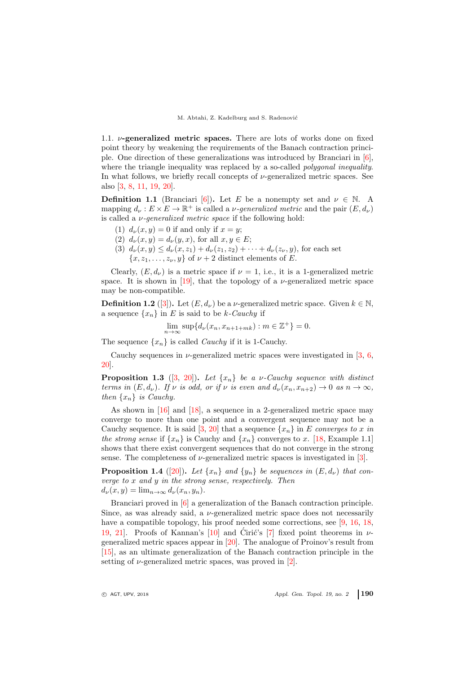1.1.  $\nu$ -generalized metric spaces. There are lots of works done on fixed point theory by weakening the requirements of the Banach contraction principle. One direction of these generalizations was introduced by Branciari in [\[6\]](#page-11-1), where the triangle inequality was replaced by a so-called *polygonal inequality*. In what follows, we briefly recall concepts of  $\nu$ -generalized metric spaces. See also [\[3,](#page-11-2) [8,](#page-11-3) [11,](#page-11-4) [19,](#page-12-0) [20\]](#page-12-1).

<span id="page-1-2"></span>**Definition 1.1** (Branciari [\[6\]](#page-11-1)). Let E be a nonempty set and  $\nu \in \mathbb{N}$ . A mapping  $d_{\nu}: E \times E \to \mathbb{R}^+$  is called a  $\nu$ -generalized metric and the pair  $(E, d_{\nu})$ is called a  $\nu$ -generalized metric space if the following hold:

- (1)  $d_{\nu}(x, y) = 0$  if and only if  $x = y$ ;
- <span id="page-1-1"></span>(2)  $d_{\nu}(x, y) = d_{\nu}(y, x)$ , for all  $x, y \in E$ ;
- (3)  $d_{\nu}(x, y) \leq d_{\nu}(x, z_1) + d_{\nu}(z_1, z_2) + \cdots + d_{\nu}(z_{\nu}, y)$ , for each set  ${x, z_1, \ldots, z_{\nu}, y}$  of  $\nu + 2$  distinct elements of E.

Clearly,  $(E, d_{\nu})$  is a metric space if  $\nu = 1$ , i.e., it is a 1-generalized metric space. It is shown in  $[19]$ , that the topology of a *v*-generalized metric space may be non-compatible.

<span id="page-1-0"></span>**Definition 1.2** ([\[3\]](#page-11-2)). Let  $(E, d_{\nu})$  be a  $\nu$ -generalized metric space. Given  $k \in \mathbb{N}$ , a sequence  $\{x_n\}$  in E is said to be k-Cauchy if

$$
\lim_{n \to \infty} \sup \{ d_{\nu}(x_n, x_{n+1+mk}) : m \in \mathbb{Z}^+ \} = 0.
$$

The sequence  $\{x_n\}$  is called *Cauchy* if it is 1-Cauchy.

Cauchy sequences in  $\nu$ -generalized metric spaces were investigated in [\[3,](#page-11-2) [6,](#page-11-1) [20\]](#page-12-1).

<span id="page-1-3"></span>**Proposition 1.3** ([\[3,](#page-11-2) [20\]](#page-12-1)). Let  $\{x_n\}$  be a *v*-Cauchy sequence with distinct terms in  $(E, d_{\nu})$ . If  $\nu$  is odd, or if  $\nu$  is even and  $d_{\nu}(x_n, x_{n+2}) \to 0$  as  $n \to \infty$ , then  $\{x_n\}$  is Cauchy.

As shown in [\[16\]](#page-11-5) and [\[18\]](#page-11-6), a sequence in a 2-generalized metric space may converge to more than one point and a convergent sequence may not be a Cauchy sequence. It is said [\[3,](#page-11-2) [20\]](#page-12-1) that a sequence  $\{x_n\}$  in E converges to x in the strong sense if  $\{x_n\}$  is Cauchy and  $\{x_n\}$  converges to x. [\[18,](#page-11-6) Example 1.1] shows that there exist convergent sequences that do not converge in the strong sense. The completeness of  $\nu$ -generalized metric spaces is investigated in [\[3\]](#page-11-2).

**Proposition 1.4** ([\[20\]](#page-12-1)). Let  $\{x_n\}$  and  $\{y_n\}$  be sequences in  $(E, d_{\nu})$  that converge to  $x$  and  $y$  in the strong sense, respectively. Then  $d_{\nu}(x, y) = \lim_{n \to \infty} d_{\nu}(x_n, y_n).$ 

Branciari proved in [\[6\]](#page-11-1) a generalization of the Banach contraction principle. Since, as was already said, a  $\nu$ -generalized metric space does not necessarily have a compatible topology, his proof needed some corrections, see [\[9,](#page-11-7) [16,](#page-11-5) [18,](#page-11-6) [19,](#page-12-0) [21\]](#page-12-2). Proofs of Kannan's [\[10\]](#page-11-8) and Ciric's [[7\]](#page-11-9) fixed point theorems in  $\nu$ generalized metric spaces appear in [\[20\]](#page-12-1). The analogue of Proinov's result from [\[15\]](#page-11-10), as an ultimate generalization of the Banach contraction principle in the setting of  $\nu$ -generalized metric spaces, was proved in [\[2\]](#page-11-11).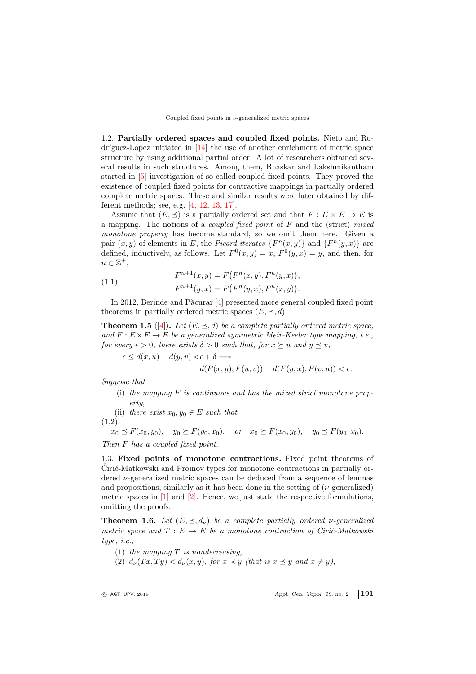1.2. Partially ordered spaces and coupled fixed points. Nieto and Ro- $\text{dríguez-López}$  initiated in [\[14\]](#page-11-12) the use of another enrichment of metric space structure by using additional partial order. A lot of researchers obtained several results in such structures. Among them, Bhaskar and Lakshmikantham started in [\[5\]](#page-11-13) investigation of so-called coupled fixed points. They proved the existence of coupled fixed points for contractive mappings in partially ordered complete metric spaces. These and similar results were later obtained by different methods; see, e.g. [\[4,](#page-11-14) [12,](#page-11-15) [13,](#page-11-16) [17\]](#page-11-17).

Assume that  $(E, \prec)$  is a partially ordered set and that  $F : E \times E \to E$  is a mapping. The notions of a *coupled fixed point* of  $F$  and the (strict) mixed monotone property has become standard, so we omit them here. Given a pair  $(x, y)$  of elements in E, the Picard iterates  $\{F<sup>n</sup>(x, y)\}$  and  $\{F<sup>n</sup>(y, x)\}$  are defined, inductively, as follows. Let  $F^{0}(x, y) = x$ ,  $F^{0}(y, x) = y$ , and then, for  $n \in \mathbb{Z}^+,$ 

<span id="page-2-1"></span>(1.1) 
$$
F^{n+1}(x,y) = F(F^n(x,y), F^n(y,x)),
$$

$$
F^{n+1}(y, x) = F(F^n(y, x), F^n(x, y)).
$$

In 2012, Berinde and Păcurar  $[4]$  presented more general coupled fixed point theorems in partially ordered metric spaces  $(E, \prec, d)$ .

<span id="page-2-3"></span>**Theorem 1.5** ([\[4\]](#page-11-14)). Let  $(E, \leq, d)$  be a complete partially ordered metric space, and  $F: E \times E \to E$  be a generalized symmetric Meir-Keeler type mapping, i.e., for every  $\epsilon > 0$ , there exists  $\delta > 0$  such that, for  $x \succeq u$  and  $y \preceq v$ ,

 $\epsilon \leq d(x, u) + d(u, v) \leq \epsilon + \delta \Longrightarrow$ 

<span id="page-2-4"></span>
$$
d(F(x, y), F(u, v)) + d(F(y, x), F(v, u)) < \epsilon.
$$

Suppose that

- (i) the mapping  $F$  is continuous and has the mixed strict monotone prop $ertn$
- (ii) there exist  $x_0, y_0 \in E$  such that

(1.2)

$$
x_0 \preceq F(x_0, y_0), y_0 \succeq F(y_0, x_0), or x_0 \succeq F(x_0, y_0), y_0 \preceq F(y_0, x_0).
$$

<span id="page-2-0"></span>Then F has a coupled fixed point.

1.3. Fixed points of monotone contractions. Fixed point theorems of Cirić-Matkowski and Proinov types for monotone contractions in partially ordered  $\nu$ -generalized metric spaces can be deduced from a sequence of lemmas and propositions, similarly as it has been done in the setting of  $(\nu$ -generalized) metric spaces in  $[1]$  and  $[2]$ . Hence, we just state the respective formulations, omitting the proofs.

<span id="page-2-2"></span>**Theorem 1.6.** Let  $(E, \leq, d_{\nu})$  be a complete partially ordered v-generalized metric space and  $T : E \to E$  be a monotone contraction of Ciric-Matkowski type, i.e.,

- (1) the mapping  $T$  is nondecreasing,
- (2)  $d_{\nu}(Tx,Ty) < d_{\nu}(x,y)$ , for  $x \prec y$  (that is  $x \preceq y$  and  $x \neq y$ ),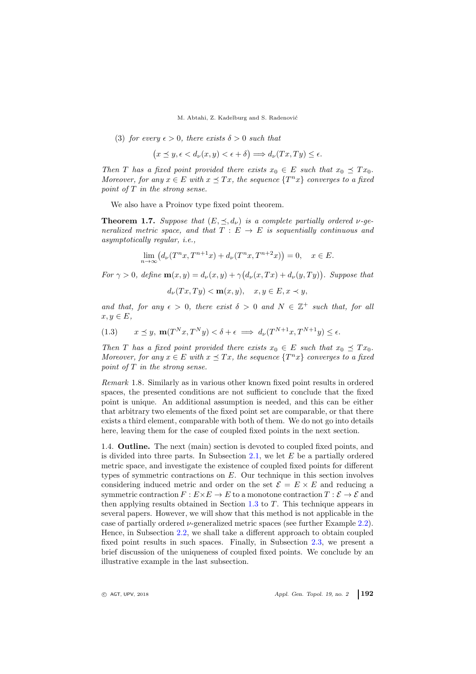(3) for every  $\epsilon > 0$ , there exists  $\delta > 0$  such that

$$
(x \preceq y, \epsilon < d_{\nu}(x, y) < \epsilon + \delta) \Longrightarrow d_{\nu}(Tx, Ty) \leq \epsilon.
$$

Then T has a fixed point provided there exists  $x_0 \in E$  such that  $x_0 \preceq Tx_0$ . Moreover, for any  $x \in E$  with  $x \preceq Tx$ , the sequence  $\{T^n x\}$  converges to a fixed point of T in the strong sense.

We also have a Proinov type fixed point theorem.

<span id="page-3-0"></span>**Theorem 1.7.** Suppose that  $(E, \leq, d_{\nu})$  is a complete partially ordered  $\nu$ -generalized metric space, and that  $T : E \to E$  is sequentially continuous and asymptotically regular, i.e.,

$$
\lim_{n \to \infty} (d_{\nu}(T^n x, T^{n+1} x) + d_{\nu}(T^n x, T^{n+2} x)) = 0, \quad x \in E.
$$

For  $\gamma > 0$ , define  $\mathbf{m}(x, y) = d_{\nu}(x, y) + \gamma (d_{\nu}(x, Tx) + d_{\nu}(y, Ty))$ . Suppose that

$$
d_{\nu}(Tx, Ty) < \mathbf{m}(x, y), \quad x, y \in E, x \prec y,
$$

and that, for any  $\epsilon > 0$ , there exist  $\delta > 0$  and  $N \in \mathbb{Z}^+$  such that, for all  $x, y \in E$ ,

(1.3) 
$$
x \preceq y, \mathbf{m}(T^N x, T^N y) < \delta + \epsilon \implies d_{\nu}(T^{N+1} x, T^{N+1} y) \leq \epsilon.
$$

Then T has a fixed point provided there exists  $x_0 \in E$  such that  $x_0 \preceq Tx_0$ . Moreover, for any  $x \in E$  with  $x \preceq Tx$ , the sequence  $\{T^n x\}$  converges to a fixed point of T in the strong sense.

Remark 1.8. Similarly as in various other known fixed point results in ordered spaces, the presented conditions are not sufficient to conclude that the fixed point is unique. An additional assumption is needed, and this can be either that arbitrary two elements of the fixed point set are comparable, or that there exists a third element, comparable with both of them. We do not go into details here, leaving them for the case of coupled fixed points in the next section.

1.4. Outline. The next (main) section is devoted to coupled fixed points, and is divided into three parts. In Subsection [2.1,](#page-5-0) we let  $E$  be a partially ordered metric space, and investigate the existence of coupled fixed points for different types of symmetric contractions on E. Our technique in this section involves considering induced metric and order on the set  $\mathcal{E} = E \times E$  and reducing a symmetric contraction  $F: E \times E \to E$  to a monotone contraction  $T: \mathcal{E} \to \mathcal{E}$  and then applying results obtained in Section  $1.3$  to T. This technique appears in several papers. However, we will show that this method is not applicable in the case of partially ordered ν-generalized metric spaces (see further Example [2.2\)](#page-4-0). Hence, in Subsection [2.2,](#page-6-0) we shall take a different approach to obtain coupled fixed point results in such spaces. Finally, in Subsection [2.3,](#page-9-0) we present a brief discussion of the uniqueness of coupled fixed points. We conclude by an illustrative example in the last subsection.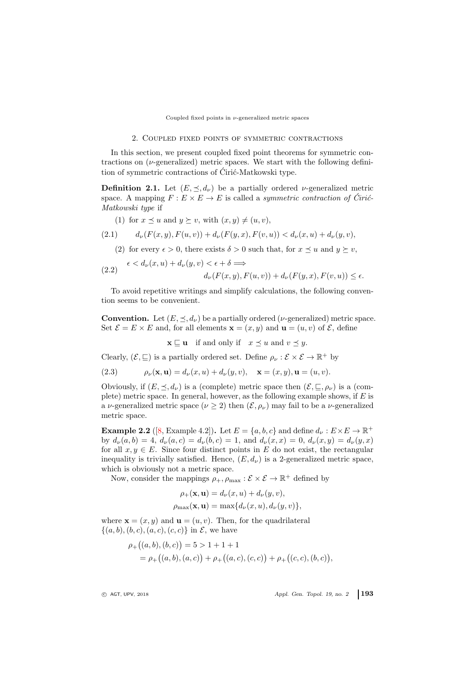#### <span id="page-4-2"></span>Coupled fixed points in  $\nu$ -generalized metric spaces

#### 2. Coupled fixed points of symmetric contractions

In this section, we present coupled fixed point theorems for symmetric contractions on  $(\nu$ -generalized) metric spaces. We start with the following definition of symmetric contractions of Ćirić-Matkowski type.

**Definition 2.1.** Let  $(E, \leq, d_{\nu})$  be a partially ordered *v*-generalized metric space. A mapping  $F : E \times E \to E$  is called a *symmetric contraction of Ćirić*-Matkowski type if

- (1) for  $x \preceq u$  and  $y \succeq v$ , with  $(x, y) \neq (u, v)$ ,
- (2.1)  $d_{\nu}(F(x, y), F(u, v)) + d_{\nu}(F(u, x), F(v, u)) < d_{\nu}(x, u) + d_{\nu}(u, v),$

(2) for every  $\epsilon > 0$ , there exists  $\delta > 0$  such that, for  $x \preceq u$  and  $y \succeq v$ ,

(2.2) 
$$
\epsilon < d_{\nu}(x, u) + d_{\nu}(y, v) < \epsilon + \delta \Longrightarrow
$$

$$
d_{\nu}(F(x, y), F(u, v)) + d_{\nu}(F(y, x), F(v, u)) \leq \epsilon.
$$

To avoid repetitive writings and simplify calculations, the following convention seems to be convenient.

**Convention.** Let  $(E, \preceq, d_{\nu})$  be a partially ordered ( $\nu$ -generalized) metric space. Set  $\mathcal{E} = E \times E$  and, for all elements  $\mathbf{x} = (x, y)$  and  $\mathbf{u} = (u, v)$  of  $\mathcal{E}$ , define

<span id="page-4-3"></span><span id="page-4-1"></span> $\mathbf{x} \sqsubseteq \mathbf{u}$  if and only if  $x \preceq u$  and  $v \preceq y$ .

Clearly,  $(\mathcal{E}, \sqsubseteq)$  is a partially ordered set. Define  $\rho_{\nu} : \mathcal{E} \times \mathcal{E} \to \mathbb{R}^+$  by

(2.3) 
$$
\rho_{\nu}(\mathbf{x}, \mathbf{u}) = d_{\nu}(x, u) + d_{\nu}(y, v), \quad \mathbf{x} = (x, y), \mathbf{u} = (u, v).
$$

Obviously, if  $(E, \preceq, d_{\nu})$  is a (complete) metric space then  $(\mathcal{E}, \sqsubseteq, \rho_{\nu})$  is a (complete) metric space. In general, however, as the following example shows, if  $E$  is a *ν*-generalized metric space ( $\nu \geq 2$ ) then  $(\mathcal{E}, \rho_{\nu})$  may fail to be a *ν*-generalized metric space.

<span id="page-4-0"></span>**Example 2.2** ([\[8,](#page-11-3) Example 4.2]). Let  $E = \{a, b, c\}$  and define  $d_{\nu}: E \times E \to \mathbb{R}^+$ by  $d_{\nu}(a, b) = 4$ ,  $d_{\nu}(a, c) = d_{\nu}(b, c) = 1$ , and  $d_{\nu}(x, x) = 0$ ,  $d_{\nu}(x, y) = d_{\nu}(y, x)$ for all  $x, y \in E$ . Since four distinct points in E do not exist, the rectangular inequality is trivially satisfied. Hence,  $(E, d_{\nu})$  is a 2-generalized metric space, which is obviously not a metric space.

Now, consider the mappings  $\rho_+$ ,  $\rho_{\text{max}}$  :  $\mathcal{E} \times \mathcal{E} \to \mathbb{R}^+$  defined by

$$
\rho_{+}(\mathbf{x}, \mathbf{u}) = d_{\nu}(x, u) + d_{\nu}(y, v),
$$
  
\n
$$
\rho_{\max}(\mathbf{x}, \mathbf{u}) = \max\{d_{\nu}(x, u), d_{\nu}(y, v)\},
$$

where  $\mathbf{x} = (x, y)$  and  $\mathbf{u} = (u, v)$ . Then, for the quadrilateral  $\{(a, b), (b, c), (a, c), (c, c)\}\$ in  $\mathcal{E}$ , we have

$$
\rho_{+}((a,b),(b,c)) = 5 > 1 + 1 + 1
$$
  
=  $\rho_{+}((a,b),(a,c)) + \rho_{+}((a,c),(c,c)) + \rho_{+}((c,c),(b,c)),$ 

 $\circ$  AGT, UPV, 2018  $\circ$  Appl. Gen. Topol. 19, no. 2 193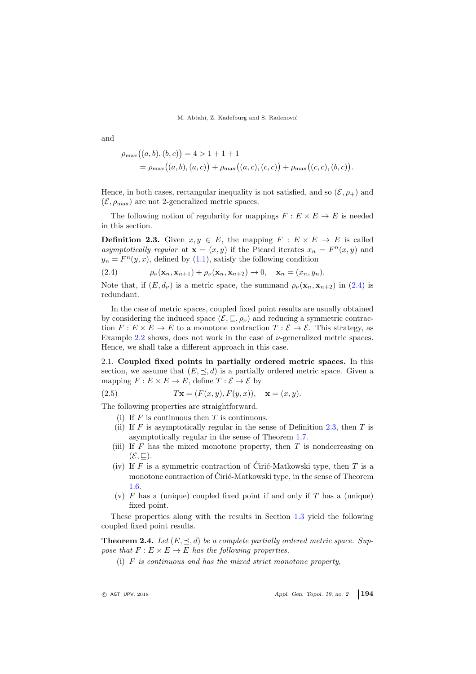$$
\rho_{\max}((a,b),(b,c)) = 4 > 1 + 1 + 1
$$
  
= 
$$
\rho_{\max}((a,b),(a,c)) + \rho_{\max}((a,c),(c,c)) + \rho_{\max}((c,c),(b,c)).
$$

Hence, in both cases, rectangular inequality is not satisfied, and so  $(\mathcal{E}, \rho_+)$  and  $(\mathcal{E}, \rho_{\text{max}})$  are not 2-generalized metric spaces.

The following notion of regularity for mappings  $F : E \times E \to E$  is needed in this section.

<span id="page-5-2"></span>**Definition 2.3.** Given  $x, y \in E$ , the mapping  $F : E \times E \to E$  is called asymptotically regular at  $\mathbf{x} = (x, y)$  if the Picard iterates  $x_n = F^n(x, y)$  and  $y_n = F^n(y, x)$ , defined by [\(1.1\)](#page-2-1), satisfy the following condition

<span id="page-5-1"></span>(2.4) 
$$
\rho_{\nu}(\mathbf{x}_n, \mathbf{x}_{n+1}) + \rho_{\nu}(\mathbf{x}_n, \mathbf{x}_{n+2}) \to 0, \quad \mathbf{x}_n = (x_n, y_n).
$$

Note that, if  $(E, d_{\nu})$  is a metric space, the summand  $\rho_{\nu}(\mathbf{x}_n, \mathbf{x}_{n+2})$  in [\(2.4\)](#page-5-1) is redundant.

In the case of metric spaces, coupled fixed point results are usually obtained by considering the induced space  $(\mathcal{E}, \sqsubseteq, \rho_{\nu})$  and reducing a symmetric contraction  $F: E \times E \to E$  to a monotone contraction  $T: \mathcal{E} \to \mathcal{E}$ . This strategy, as Example [2.2](#page-4-0) shows, does not work in the case of  $\nu$ -generalized metric spaces. Hence, we shall take a different approach in this case.

<span id="page-5-0"></span>2.1. Coupled fixed points in partially ordered metric spaces. In this section, we assume that  $(E, \preceq, d)$  is a partially ordered metric space. Given a mapping  $F: E \times E \to E$ , define  $T: \mathcal{E} \to \mathcal{E}$  by

(2.5) 
$$
T\mathbf{x} = (F(x, y), F(y, x)), \quad \mathbf{x} = (x, y).
$$

The following properties are straightforward.

- <span id="page-5-3"></span>(i) If  $F$  is continuous then  $T$  is continuous.
- (ii) If F is asymptotically regular in the sense of Definition 2.[3,](#page-5-2) then T is asymptotically regular in the sense of Theorem 1.[7.](#page-3-0)
- (iii) If  $F$  has the mixed monotone property, then  $T$  is nondecreasing on  $(\mathcal{E}, \sqsubseteq).$
- (iv) If F is a symmetric contraction of Ciric-Matkowski type, then T is a monotone contraction of Ciric-Matkowski type, in the sense of Theorem 1.[6.](#page-2-2)
- (v)  $F$  has a (unique) coupled fixed point if and only if  $T$  has a (unique) fixed point.

These properties along with the results in Section [1.3](#page-2-0) yield the following coupled fixed point results.

**Theorem 2.4.** Let  $(E, \leq, d)$  be a complete partially ordered metric space. Suppose that  $F: E \times E \to E$  has the following properties.

(i)  $F$  is continuous and has the mixed strict monotone property,

and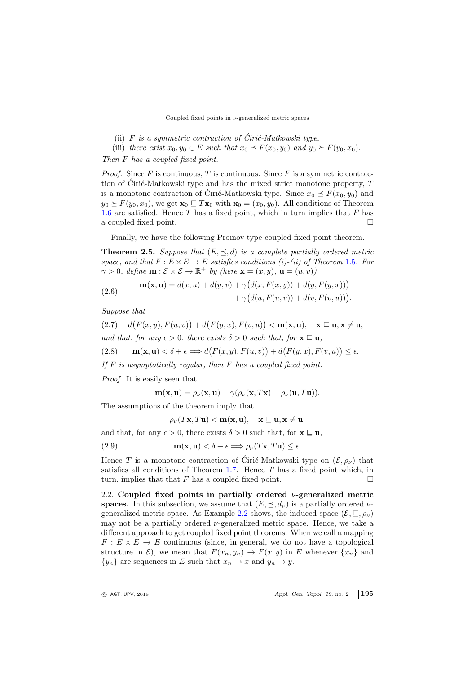## Coupled fixed points in  $\nu$ -generalized metric spaces

- (ii) F is a symmetric contraction of Ciric-Matkowski type,
- (iii) there exist  $x_0, y_0 \in E$  such that  $x_0 \preceq F(x_0, y_0)$  and  $y_0 \succeq F(y_0, x_0)$ .

Then F has a coupled fixed point.

*Proof.* Since  $F$  is continuous,  $T$  is continuous. Since  $F$  is a symmetric contraction of Ciric-Matkowski type and has the mixed strict monotone property,  $T$ is a monotone contraction of Ciric-Matkowski type. Since  $x_0 \preceq F(x_0, y_0)$  and  $y_0 \succeq F(y_0, x_0)$ , we get  $\mathbf{x}_0 \sqsubseteq T\mathbf{x}_0$  with  $\mathbf{x}_0 = (x_0, y_0)$ . All conditions of Theorem [1.6](#page-2-2) are satisfied. Hence  $T$  has a fixed point, which in turn implies that  $F$  has a coupled fixed point.

Finally, we have the following Proinov type coupled fixed point theorem.

**Theorem 2.5.** Suppose that  $(E, \prec, d)$  is a complete partially ordered metric space, and that  $F: E \times E \to E$  satisfies conditions (i)-(ii) of Theorem [1](#page-2-3).5. For  $\gamma > 0$ , define  $\mathbf{m}: \mathcal{E} \times \mathcal{E} \to \mathbb{R}^+$  by (here  $\mathbf{x} = (x, y)$ ,  $\mathbf{u} = (u, v)$ )

(2.6) 
$$
\mathbf{m}(\mathbf{x}, \mathbf{u}) = d(x, u) + d(y, v) + \gamma \big( d(x, F(x, y)) + d(y, F(y, x)) \big) + \gamma \big( d(u, F(u, v)) + d(v, F(v, u)) \big).
$$

Suppose that

(2.7) 
$$
d(F(x, y), F(u, v)) + d(F(y, x), F(v, u)) < \mathbf{m}(\mathbf{x}, \mathbf{u}), \quad \mathbf{x} \subseteq \mathbf{u}, \mathbf{x} \neq \mathbf{u},
$$
and that, for any  $\epsilon > 0$ , there exists  $\delta > 0$  such that, for  $\mathbf{x} \subseteq \mathbf{u}$ ,  
(2.8) 
$$
\mathbf{m}(\mathbf{x}, \mathbf{u}) < \delta + \epsilon \Longrightarrow d(F(x, y), F(u, v)) + d(F(y, x), F(v, u)) \leq \epsilon.
$$

If  $F$  is asymptotically regular, then  $F$  has a coupled fixed point.

Proof. It is easily seen that

<span id="page-6-1"></span>
$$
\mathbf{m}(\mathbf{x}, \mathbf{u}) = \rho_{\nu}(\mathbf{x}, \mathbf{u}) + \gamma(\rho_{\nu}(\mathbf{x}, T\mathbf{x}) + \rho_{\nu}(\mathbf{u}, T\mathbf{u})).
$$

The assumptions of the theorem imply that

<span id="page-6-2"></span>
$$
\rho_{\nu}(T\mathbf{x}, T\mathbf{u}) < \mathbf{m}(\mathbf{x}, \mathbf{u}), \quad \mathbf{x} \sqsubseteq \mathbf{u}, \mathbf{x} \neq \mathbf{u}.
$$

and that, for any  $\epsilon > 0$ , there exists  $\delta > 0$  such that, for  $\mathbf{x} \sqsubseteq \mathbf{u}$ ,

(2.9) 
$$
\mathbf{m}(\mathbf{x}, \mathbf{u}) < \delta + \epsilon \Longrightarrow \rho_{\nu}(T\mathbf{x}, T\mathbf{u}) \leq \epsilon.
$$

Hence T is a monotone contraction of Ciric-Matkowski type on  $(\mathcal{E}, \rho_{\nu})$  that satisfies all conditions of Theorem  $1.7$ . Hence T has a fixed point which, in turn, implies that that F has a coupled fixed point.  $\square$ 

<span id="page-6-0"></span>2.2. Coupled fixed points in partially ordered  $\nu$ -generalized metric spaces. In this subsection, we assume that  $(E, \preceq, d_{\nu})$  is a partially ordered  $\nu$ -generalized metric space. As Example [2.2](#page-4-0) shows, the induced space  $(\mathcal{E}, \sqsubseteq, \rho_{\nu})$ may not be a partially ordered  $\nu$ -generalized metric space. Hence, we take a different approach to get coupled fixed point theorems. When we call a mapping  $F: E \times E \to E$  continuous (since, in general, we do not have a topological structure in  $\mathcal{E}$ ), we mean that  $F(x_n, y_n) \to F(x, y)$  in E whenever  $\{x_n\}$  and  ${y_n}$  are sequences in E such that  $x_n \to x$  and  $y_n \to y$ .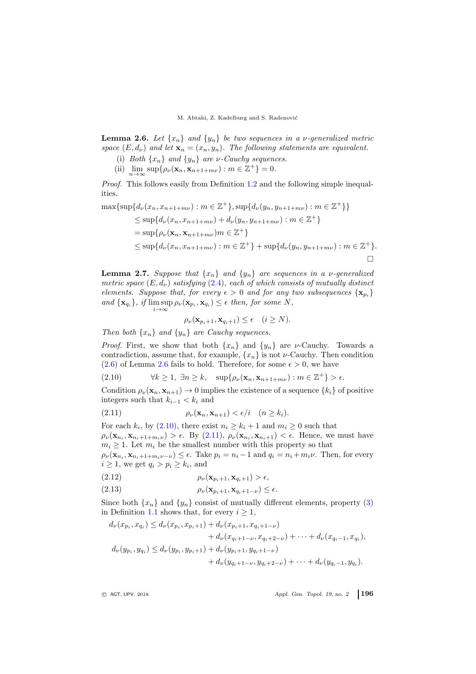<span id="page-7-0"></span>**Lemma 2.6.** Let  $\{x_n\}$  and  $\{y_n\}$  be two sequences in a *v*-generalized metric space  $(E, d_{\nu})$  and let  $\mathbf{x}_n = (x_n, y_n)$ . The following statements are equivalent.

- (i) Both  $\{x_n\}$  and  $\{y_n\}$  are *ν*-Cauchy sequences.
- (ii)  $\lim_{n\to\infty} \sup \{ \rho_\nu(\mathbf{x}_n, \mathbf{x}_{n+1+m\nu}) : m \in \mathbb{Z}^+ \} = 0.$

Proof. This follows easily from Definition [1.2](#page-1-0) and the following simple inequalities.

$$
\max{\sup\{d_{\nu}(x_n, x_{n+1+m\nu}) : m \in \mathbb{Z}^+\}, \sup\{d_{\nu}(y_n, y_{n+1+m\nu}) : m \in \mathbb{Z}^+\}\}
$$
  
\n
$$
\leq \sup\{d_{\nu}(x_n, x_{n+1+m\nu}) + d_{\nu}(y_n, y_{n+1+m\nu}) : m \in \mathbb{Z}^+\}
$$
  
\n
$$
= \sup\{\rho_{\nu}(\mathbf{x}_n, \mathbf{x}_{n+1+m\nu}) : m \in \mathbb{Z}^+\}
$$
  
\n
$$
\leq \sup\{d_{\nu}(x_n, x_{n+1+m\nu}) : m \in \mathbb{Z}^+\} + \sup\{d_{\nu}(y_n, y_{n+1+m\nu}) : m \in \mathbb{Z}^+\}.
$$

<span id="page-7-5"></span>**Lemma 2.7.** Suppose that  $\{x_n\}$  and  $\{y_n\}$  are sequences in a *v*-generalized metric space  $(E,d_\nu)$  satisfying  $(2.4)$ , each of which consists of mutually distinct elements. Suppose that, for every  $\epsilon > 0$  and for any two subsequences  $\{x_{p_i}\}$ and  $\{x_{q_i}\}\$ , if  $\limsup_{i\to\infty} \rho_{\nu}(x_{p_i}, x_{q_i}) \leq \epsilon$  then, for some N,

<span id="page-7-2"></span><span id="page-7-1"></span>
$$
\rho_{\nu}(\mathbf{x}_{p_i+1}, \mathbf{x}_{q_i+1}) \le \epsilon \quad (i \ge N).
$$

Then both  $\{x_n\}$  and  $\{y_n\}$  are Cauchy sequences.

*Proof.* First, we show that both  $\{x_n\}$  and  $\{y_n\}$  are *v*-Cauchy. Towards a contradiction, assume that, for example,  $\{x_n\}$  is not  $\nu$ -Cauchy. Then condition [\(2.6\)](#page-7-0) of Lemma [2.6](#page-7-0) fails to hold. Therefore, for some  $\epsilon > 0$ , we have

(2.10)  $\forall k \geq 1, \exists n \geq k, \quad \sup\{\rho_\nu(\mathbf{x}_n, \mathbf{x}_{n+1+m\nu}) : m \in \mathbb{Z}^+\} > \epsilon.$ 

Condition  $\rho_{\nu}(\mathbf{x}_n, \mathbf{x}_{n+1}) \to 0$  implies the existence of a sequence  $\{k_i\}$  of positive integers such that  $k_{i-1} < k_i$  and

$$
(2.11) \qquad \rho_{\nu}(\mathbf{x}_n, \mathbf{x}_{n+1}) < \epsilon/i \quad (n \ge k_i).
$$

For each  $k_i$ , by  $(2.10)$ , there exist  $n_i \geq k_i + 1$  and  $m_i \geq 0$  such that  $\rho_{\nu}(\mathbf{x}_{n_i}, \mathbf{x}_{n_i+1+m_i\nu}) > \epsilon$ . By  $(2.11), \rho_{\nu}(\mathbf{x}_{n_i}, \mathbf{x}_{n_i+1}) < \epsilon$ . Hence, we must have  $m_i \geq 1$ . Let  $m_i$  be the smallest number with this property so that

 $\rho_{\nu}(\mathbf{x}_{n_i}, \mathbf{x}_{n_i+1+m_i\nu-\nu}) \leq \epsilon$ . Take  $p_i = n_i - 1$  and  $q_i = n_i + m_i\nu$ . Then, for every  $i \geq 1$ , we get  $q_i > p_i \geq k_i$ , and

- <span id="page-7-4"></span>(2.12)  $\rho_{\nu}(\mathbf{x}_{p_i+1}, \mathbf{x}_{q_i+1}) > \epsilon,$
- <span id="page-7-3"></span>(2.13)  $\rho_{\nu}(\mathbf{x}_{p_i+1}, \mathbf{x}_{q_i+1-\nu}) \leq \epsilon.$

Since both  $\{x_n\}$  and  $\{y_n\}$  consist of mutually different elements, property [\(3\)](#page-1-1) in Definition [1.1](#page-1-2) shows that, for every  $i \geq 1$ ,

$$
d_{\nu}(x_{p_i}, x_{q_i}) \le d_{\nu}(x_{p_i}, x_{p_i+1}) + d_{\nu}(x_{p_i+1}, x_{q_i+1-\nu}) + d_{\nu}(x_{q_i+1-\nu}, x_{q_i+2-\nu}) + \cdots + d_{\nu}(x_{q_i-1}, x_{q_i}), d_{\nu}(y_{p_i}, y_{q_i}) \le d_{\nu}(y_{p_i}, y_{p_i+1}) + d_{\nu}(y_{p_i+1}, y_{q_i+1-\nu}) + d_{\nu}(y_{q_i+1-\nu}, y_{q_i+2-\nu}) + \cdots + d_{\nu}(y_{q_i-1}, y_{q_i}).
$$

 $\circ$  AGT, UPV, 2018  $\circ$  Appl. Gen. Topol. 19, no. 2 196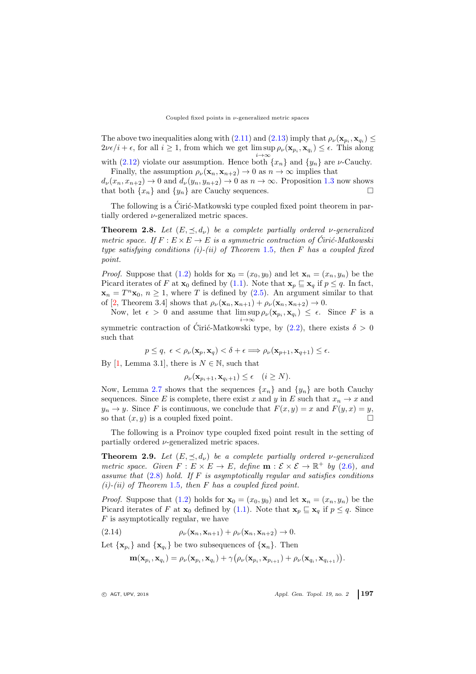The above two inequalities along with [\(2.11\)](#page-7-2) and [\(2.13\)](#page-7-3) imply that  $\rho_{\nu}(\mathbf{x}_{p_i}, \mathbf{x}_{q_i}) \leq$  $2\nu\epsilon/i + \epsilon$ , for all  $i \geq 1$ , from which we get  $\limsup_{i \to \infty} \rho_{\nu}(\mathbf{x}_{p_i}, \mathbf{x}_{q_i}) \leq \epsilon$ . This along

with [\(2.12\)](#page-7-4) violate our assumption. Hence both  $\{x_n\}$  and  $\{y_n\}$  are *v*-Cauchy. Finally, the assumption  $\rho_{\nu}(\mathbf{x}_n, \mathbf{x}_{n+2}) \to 0$  as  $n \to \infty$  implies that

 $d_{\nu}(x_n, x_{n+2}) \rightarrow 0$  and  $d_{\nu}(y_n, y_{n+2}) \rightarrow 0$  as  $n \rightarrow \infty$ . Proposition [1.3](#page-1-3) now shows that both  $\{x_n\}$  and  $\{y_n\}$  are Cauchy sequences.

The following is a Ciric-Matkowski type coupled fixed point theorem in partially ordered  $\nu$ -generalized metric spaces.

<span id="page-8-1"></span>**Theorem 2.8.** Let  $(E, \leq, d_{\nu})$  be a complete partially ordered v-generalized metric space. If  $F : E \times E \to E$  is a symmetric contraction of Ciric-Matkowski type satisfying conditions (i)-(ii) of Theorem [1](#page-2-3).5, then  $F$  has a coupled fixed point.

*Proof.* Suppose that [\(1.2\)](#page-2-4) holds for  $\mathbf{x}_0 = (x_0, y_0)$  and let  $\mathbf{x}_n = (x_n, y_n)$  be the Picard iterates of F at  $\mathbf{x}_0$  defined by [\(1.1\)](#page-2-1). Note that  $\mathbf{x}_p \subseteq \mathbf{x}_q$  if  $p \leq q$ . In fact,  $\mathbf{x}_n = T^n \mathbf{x}_0, n \ge 1$ , where T is defined by [\(2.5\)](#page-5-3). An argument similar to that of [\[2,](#page-11-11) Theorem 3.4] shows that  $\rho_{\nu}(\mathbf{x}_n, \mathbf{x}_{n+1}) + \rho_{\nu}(\mathbf{x}_n, \mathbf{x}_{n+2}) \to 0$ .

Now, let  $\epsilon > 0$  and assume that  $\limsup \rho_{\nu}(\mathbf{x}_{p_i}, \mathbf{x}_{q_i}) \leq \epsilon$ . Since F is a  $i\rightarrow\infty$ 

symmetric contraction of Ciric-Matkowski type, by  $(2.2)$  $(2.2)$ , there exists  $\delta > 0$ such that

$$
p \leq q, \epsilon < \rho_{\nu}(\mathbf{x}_p, \mathbf{x}_q) < \delta + \epsilon \Longrightarrow \rho_{\nu}(\mathbf{x}_{p+1}, \mathbf{x}_{q+1}) \leq \epsilon.
$$

By [\[1,](#page-11-18) Lemma 3.1], there is  $N \in \mathbb{N}$ , such that

$$
\rho_{\nu}(\mathbf{x}_{p_i+1}, \mathbf{x}_{q_i+1}) \le \epsilon \quad (i \ge N).
$$

Now, Lemma [2.7](#page-7-5) shows that the sequences  $\{x_n\}$  and  $\{y_n\}$  are both Cauchy sequences. Since E is complete, there exist x and y in E such that  $x_n \to x$  and  $y_n \to y$ . Since F is continuous, we conclude that  $F(x, y) = x$  and  $F(y, x) = y$ , so that  $(x, y)$  is a coupled fixed point so that  $(x, y)$  is a coupled fixed point.

The following is a Proinov type coupled fixed point result in the setting of partially ordered  $\nu$ -generalized metric spaces.

<span id="page-8-2"></span>**Theorem 2.9.** Let  $(E, \leq, d_{\nu})$  be a complete partially ordered v-generalized metric space. Given  $F: E \times E \to E$ , define  $\mathbf{m}: \mathcal{E} \times \mathcal{E} \to \mathbb{R}^+$  by [\(2.6\)](#page-6-1), and assume that  $(2.8)$  hold. If F is asymptotically regular and satisfies conditions  $(i)-(ii)$  of Theorem [1](#page-2-3).5, then F has a coupled fixed point.

*Proof.* Suppose that [\(1.2\)](#page-2-4) holds for  $\mathbf{x}_0 = (x_0, y_0)$  and let  $\mathbf{x}_n = (x_n, y_n)$  be the Picard iterates of F at  $\mathbf{x}_0$  defined by [\(1.1\)](#page-2-1). Note that  $\mathbf{x}_p \sqsubseteq \mathbf{x}_q$  if  $p \leq q$ . Since  $F$  is asymptotically regular, we have

(2.14)  $\rho_{\nu}(\mathbf{x}_n, \mathbf{x}_{n+1}) + \rho_{\nu}(\mathbf{x}_n, \mathbf{x}_{n+2}) \to 0.$ 

Let  $\{x_{p_i}\}\$ and  $\{x_{q_i}\}\$ be two subsequences of  $\{x_n\}$ . Then

<span id="page-8-0"></span>
$$
\mathbf{m}(\mathbf{x}_{p_i},\mathbf{x}_{q_i})=\rho_\nu(\mathbf{x}_{p_i},\mathbf{x}_{q_i})+\gamma\big(\rho_\nu(\mathbf{x}_{p_i},\mathbf{x}_{p_{i+1}})+\rho_\nu(\mathbf{x}_{q_i},\mathbf{x}_{q_{i+1}})\big).
$$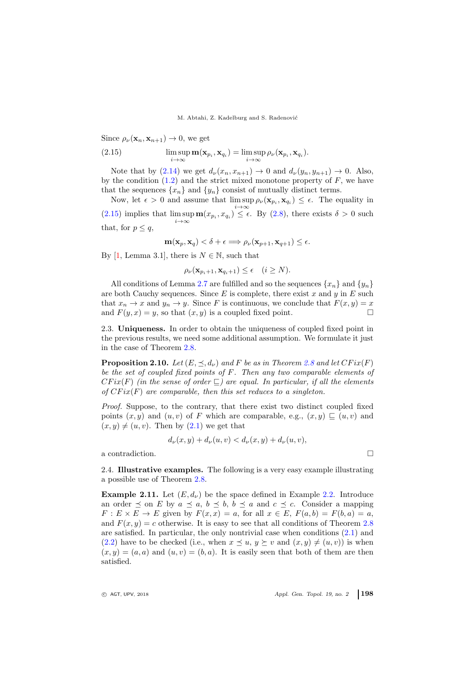<span id="page-9-1"></span>Since  $\rho_{\nu}(\mathbf{x}_n, \mathbf{x}_{n+1}) \to 0$ , we get

(2.15) 
$$
\limsup_{i \to \infty} \mathbf{m}(\mathbf{x}_{p_i}, \mathbf{x}_{q_i}) = \limsup_{i \to \infty} \rho_{\nu}(\mathbf{x}_{p_i}, \mathbf{x}_{q_i}).
$$

Note that by  $(2.14)$  we get  $d_{\nu}(x_n, x_{n+1}) \rightarrow 0$  and  $d_{\nu}(y_n, y_{n+1}) \rightarrow 0$ . Also, by the condition  $(1.2)$  and the strict mixed monotone property of F, we have that the sequences  $\{x_n\}$  and  $\{y_n\}$  consist of mutually distinct terms.

Now, let  $\epsilon > 0$  and assume that  $\limsup \rho_{\nu}(\mathbf{x}_{p_i}, \mathbf{x}_{q_i}) \leq \epsilon$ . The equality in i→∞ [\(2.15\)](#page-9-1) implies that  $\limsup_{i\to\infty} \mathbf{m}(x_{p_i}, x_{q_i}) \leq \epsilon$ . By [\(2.8\)](#page-6-2), there exists  $\delta > 0$  such that, for  $p \leq q$ ,

$$
\mathbf{m}(\mathbf{x}_p, \mathbf{x}_q) < \delta + \epsilon \Longrightarrow \rho_{\nu}(\mathbf{x}_{p+1}, \mathbf{x}_{q+1}) \le \epsilon.
$$

By [\[1,](#page-11-18) Lemma 3.1], there is  $N \in \mathbb{N}$ , such that

$$
\rho_{\nu}(\mathbf{x}_{p_i+1}, \mathbf{x}_{q_i+1}) \le \epsilon \quad (i \ge N).
$$

All conditions of Lemma [2.7](#page-7-5) are fulfilled and so the sequences  $\{x_n\}$  and  $\{y_n\}$ are both Cauchy sequences. Since  $E$  is complete, there exist  $x$  and  $y$  in  $E$  such that  $x_n \to x$  and  $y_n \to y$ . Since F is continuous, we conclude that  $F(x, y) = x$ and  $F(y, x) = y$ , so that  $(x, y)$  is a coupled fixed point.

<span id="page-9-0"></span>2.3. Uniqueness. In order to obtain the uniqueness of coupled fixed point in the previous results, we need some additional assumption. We formulate it just in the case of Theorem [2.8.](#page-8-1)

**Proposition 2.10.** Let  $(E, \preceq, d_{\nu})$  and F be as in Theorem [2.8](#page-8-1) and let  $CFix(F)$ be the set of coupled fixed points of F. Then any two comparable elements of  $CFix(F)$  (in the sense of order  $\subseteq$ ) are equal. In particular, if all the elements of  $CFix(F)$  are comparable, then this set reduces to a singleton.

Proof. Suppose, to the contrary, that there exist two distinct coupled fixed points  $(x, y)$  and  $(u, v)$  of F which are comparable, e.g.,  $(x, y) \sqsubseteq (u, v)$  and  $(x, y) \neq (u, v)$ . Then by  $(2.1)$  we get that

$$
d_{\nu}(x, y) + d_{\nu}(u, v) < d_{\nu}(x, y) + d_{\nu}(u, v),
$$

a contradiction.

2.4. Illustrative examples. The following is a very easy example illustrating a possible use of Theorem [2.8.](#page-8-1)

**Example 2.11.** Let  $(E, d_{\nu})$  be the space defined in Example [2.2.](#page-4-0) Introduce an order  $\preceq$  on E by  $a \preceq a$ ,  $b \preceq b$ ,  $b \preceq a$  and  $c \preceq c$ . Consider a mapping  $F: E \times E \to E$  given by  $F(x, x) = a$ , for all  $x \in E$ ,  $F(a, b) = F(b, a) = a$ , and  $F(x, y) = c$  otherwise. It is easy to see that all conditions of Theorem [2.8](#page-8-1) are satisfied. In particular, the only nontrivial case when conditions [\(2.1\)](#page-4-2) and [\(2.2\)](#page-4-1) have to be checked (i.e., when  $x \preceq u, y \succeq v$  and  $(x, y) \neq (u, v)$ ) is when  $(x, y) = (a, a)$  and  $(u, v) = (b, a)$ . It is easily seen that both of them are then satisfied.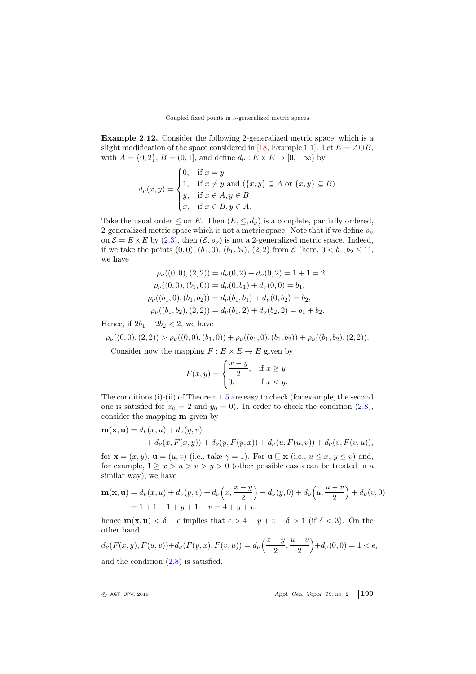#### Coupled fixed points in  $\nu\text{-generalized metric spaces}$

Example 2.12. Consider the following 2-generalized metric space, which is a slight modification of the space considered in [\[18,](#page-11-6) Example 1.1]. Let  $E = A \cup B$ , with  $A = \{0, 2\}, B = (0, 1]$ , and define  $d_{\nu}: E \times E \rightarrow [0, +\infty)$  by

$$
d_{\nu}(x,y) = \begin{cases} 0, & \text{if } x = y \\ 1, & \text{if } x \neq y \text{ and } (\{x,y\} \subseteq A \text{ or } \{x,y\} \subseteq B) \\ y, & \text{if } x \in A, y \in B \\ x, & \text{if } x \in B, y \in A. \end{cases}
$$

Take the usual order  $\leq$  on E. Then  $(E, \leq, d_{\nu})$  is a complete, partially ordered, 2-generalized metric space which is not a metric space. Note that if we define  $\rho_{\nu}$ on  $\mathcal{E} = E \times E$  by [\(2.3\)](#page-4-3), then  $(\mathcal{E}, \rho_{\nu})$  is not a 2-generalized metric space. Indeed, if we take the points  $(0, 0), (b_1, 0), (b_1, b_2), (2, 2)$  from  $\mathcal E$  (here,  $0 < b_1, b_2 \le 1$ ), we have

$$
\rho_{\nu}((0,0),(2,2)) = d_{\nu}(0,2) + d_{\nu}(0,2) = 1 + 1 = 2,
$$
  
\n
$$
\rho_{\nu}((0,0),(b_1,0)) = d_{\nu}(0,b_1) + d_{\nu}(0,0) = b_1,
$$
  
\n
$$
\rho_{\nu}((b_1,0),(b_1,b_2)) = d_{\nu}(b_1,b_1) + d_{\nu}(0,b_2) = b_2,
$$
  
\n
$$
\rho_{\nu}((b_1,b_2),(2,2)) = d_{\nu}(b_1,2) + d_{\nu}(b_2,2) = b_1 + b_2.
$$

Hence, if  $2b_1 + 2b_2 < 2$ , we have

$$
\rho_{\nu}((0,0),(2,2)) > \rho_{\nu}((0,0),(b_1,0)) + \rho_{\nu}((b_1,0),(b_1,b_2)) + \rho_{\nu}((b_1,b_2),(2,2)).
$$

Consider now the mapping  $F : E \times E \to E$  given by

$$
F(x,y) = \begin{cases} \frac{x-y}{2}, & \text{if } x \ge y \\ 0, & \text{if } x < y. \end{cases}
$$

The conditions (i)-(ii) of Theorem [1.5](#page-2-3) are easy to check (for example, the second one is satisfied for  $x_0 = 2$  and  $y_0 = 0$ ). In order to check the condition [\(2.8\)](#page-6-2), consider the mapping m given by

$$
\mathbf{m}(\mathbf{x}, \mathbf{u}) = d_{\nu}(x, u) + d_{\nu}(y, v)
$$

$$
+ d_{\nu}(x, F(x, y)) + d_{\nu}(y, F(y, x)) + d_{\nu}(u, F(u, v)) + d_{\nu}(v, F(v, u)),
$$

for  $\mathbf{x} = (x, y), \mathbf{u} = (u, v)$  (i.e., take  $\gamma = 1$ ). For  $\mathbf{u} \subseteq \mathbf{x}$  (i.e.,  $u \leq x, y \leq v$ ) and, for example,  $1 \ge x > u > v > y > 0$  (other possible cases can be treated in a similar way), we have

$$
\mathbf{m}(\mathbf{x}, \mathbf{u}) = d_{\nu}(x, u) + d_{\nu}(y, v) + d_{\nu}\left(x, \frac{x - y}{2}\right) + d_{\nu}(y, 0) + d_{\nu}\left(u, \frac{u - v}{2}\right) + d_{\nu}(v, 0)
$$
  
= 1 + 1 + 1 + y + 1 + v = 4 + y + v,

hence  $\mathbf{m}(\mathbf{x}, \mathbf{u}) < \delta + \epsilon$  implies that  $\epsilon > 4 + y + v - \delta > 1$  (if  $\delta < 3$ ). On the other hand

$$
d_{\nu}(F(x, y), F(u, v)) + d_{\nu}(F(y, x), F(v, u)) = d_{\nu}\left(\frac{x - y}{2}, \frac{u - v}{2}\right) + d_{\nu}(0, 0) = 1 < \epsilon,
$$

and the condition [\(2.8\)](#page-6-2) is satisfied.

<sup>c</sup> AGT, UPV, <sup>2018</sup> Appl. Gen. Topol. 19, no. 2 199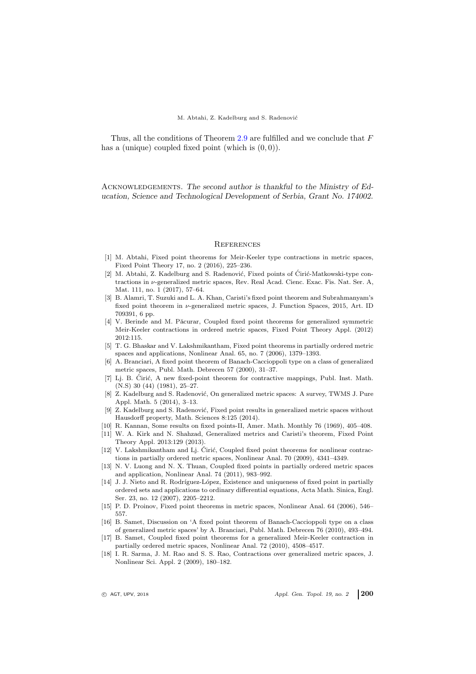Thus, all the conditions of Theorem [2.9](#page-8-2) are fulfilled and we conclude that F has a (unique) coupled fixed point (which is  $(0, 0)$ ).

Acknowledgements. The second author is thankful to the Ministry of Education, Science and Technological Development of Serbia, Grant No. 174002.

#### <span id="page-11-0"></span>**REFERENCES**

- <span id="page-11-18"></span>[1] M. Abtahi, Fixed point theorems for Meir-Keeler type contractions in metric spaces, Fixed Point Theory 17, no. 2 (2016), 225–236.
- <span id="page-11-11"></span>[2] M. Abtahi, Z. Kadelburg and S. Radenović, Fixed points of Ciric-Matkowski-type contractions in  $\nu$ -generalized metric spaces, Rev. Real Acad. Cienc. Exac. Fis. Nat. Ser. A, Mat. 111, no. 1 (2017), 57–64.
- <span id="page-11-2"></span>[3] B. Alamri, T. Suzuki and L. A. Khan, Caristi's fixed point theorem and Subrahmanyam's fixed point theorem in  $\nu$ -generalized metric spaces, J. Function Spaces, 2015, Art. ID 709391, 6 pp.
- <span id="page-11-14"></span>[4] V. Berinde and M. Păcurar, Coupled fixed point theorems for generalized symmetric Meir-Keeler contractions in ordered metric spaces, Fixed Point Theory Appl. (2012) 2012:115.
- <span id="page-11-13"></span>[5] T. G. Bhaskar and V. Lakshmikantham, Fixed point theorems in partially ordered metric spaces and applications, Nonlinear Anal. 65, no. 7 (2006), 1379–1393.
- <span id="page-11-1"></span>[6] A. Branciari, A fixed point theorem of Banach-Caccioppoli type on a class of generalized metric spaces, Publ. Math. Debrecen 57 (2000), 31–37.
- <span id="page-11-9"></span>[7] Li. B. Ciric, A new fixed-point theorem for contractive mappings, Publ. Inst. Math. (N.S) 30 (44) (1981), 25–27.
- <span id="page-11-3"></span>[8] Z. Kadelburg and S. Radenović, On generalized metric spaces: A survey, TWMS J. Pure Appl. Math. 5 (2014), 3–13.
- <span id="page-11-7"></span>[9] Z. Kadelburg and S. Radenović, Fixed point results in generalized metric spaces without Hausdorff property, Math. Sciences 8:125 (2014).
- <span id="page-11-8"></span><span id="page-11-4"></span>[10] R. Kannan, Some results on fixed points-II, Amer. Math. Monthly 76 (1969), 405–408.
- [11] W. A. Kirk and N. Shahzad, Generalized metrics and Caristi's theorem, Fixed Point Theory Appl. 2013:129 (2013).
- <span id="page-11-15"></span>[12] V. Lakshmikantham and Lj. Ćirić, Coupled fixed point theorems for nonlinear contractions in partially ordered metric spaces, Nonlinear Anal. 70 (2009), 4341–4349.
- <span id="page-11-16"></span>[13] N. V. Luong and N. X. Thuan, Coupled fixed points in partially ordered metric spaces and application, Nonlinear Anal. 74 (2011), 983–992.
- <span id="page-11-12"></span>[14] J. J. Nieto and R. Rodríguez-López, Existence and uniqueness of fixed point in partially ordered sets and applications to ordinary differential equations, Acta Math. Sinica, Engl. Ser. 23, no. 12 (2007), 2205–2212.
- <span id="page-11-10"></span>[15] P. D. Proinov, Fixed point theorems in metric spaces, Nonlinear Anal. 64 (2006), 546– 557.
- <span id="page-11-5"></span>[16] B. Samet, Discussion on 'A fixed point theorem of Banach-Caccioppoli type on a class of generalized metric spaces' by A. Branciari, Publ. Math. Debrecen 76 (2010), 493–494.
- <span id="page-11-17"></span>[17] B. Samet, Coupled fixed point theorems for a generalized Meir-Keeler contraction in partially ordered metric spaces, Nonlinear Anal. 72 (2010), 4508–4517.
- <span id="page-11-6"></span>[18] I. R. Sarma, J. M. Rao and S. S. Rao, Contractions over generalized metric spaces, J. Nonlinear Sci. Appl. 2 (2009), 180–182.